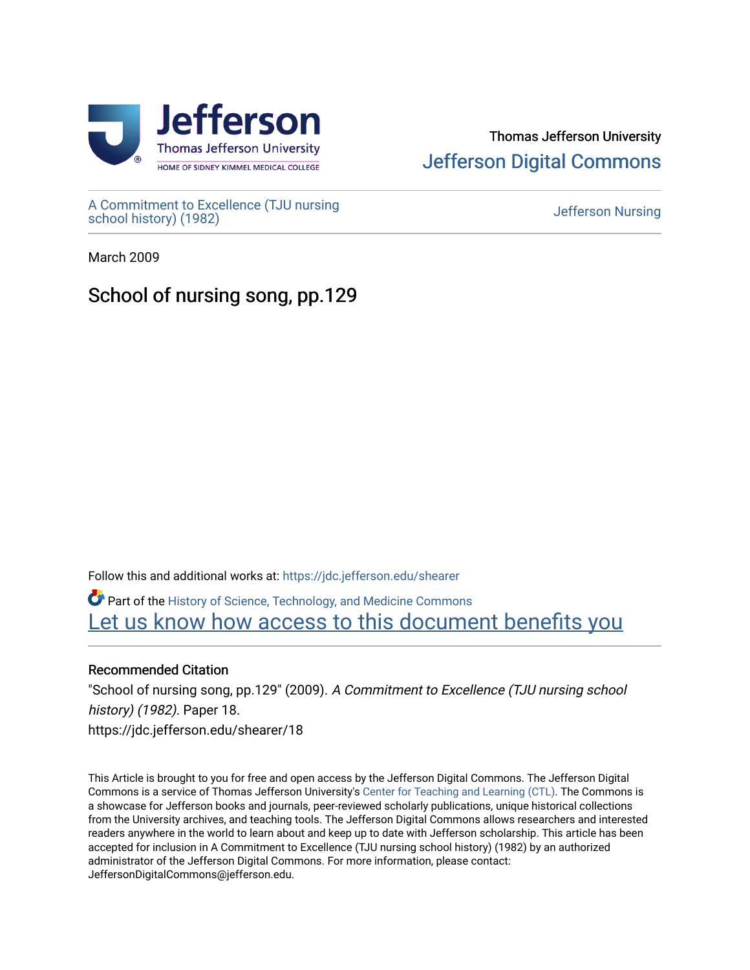

## Thomas Jefferson University [Jefferson Digital Commons](https://jdc.jefferson.edu/)

[A Commitment to Excellence \(TJU nursing](https://jdc.jefferson.edu/shearer) [school history\) \(1982\)](https://jdc.jefferson.edu/shearer) [Jefferson Nursing](https://jdc.jefferson.edu/jefferson_nursing) 

March 2009

## School of nursing song, pp.129

Follow this and additional works at: [https://jdc.jefferson.edu/shearer](https://jdc.jefferson.edu/shearer?utm_source=jdc.jefferson.edu%2Fshearer%2F18&utm_medium=PDF&utm_campaign=PDFCoverPages)

Part of the [History of Science, Technology, and Medicine Commons](http://network.bepress.com/hgg/discipline/500?utm_source=jdc.jefferson.edu%2Fshearer%2F18&utm_medium=PDF&utm_campaign=PDFCoverPages)  Let us know how access to this document benefits you

## Recommended Citation

"School of nursing song, pp.129" (2009). A Commitment to Excellence (TJU nursing school history) (1982). Paper 18. https://jdc.jefferson.edu/shearer/18

This Article is brought to you for free and open access by the Jefferson Digital Commons. The Jefferson Digital Commons is a service of Thomas Jefferson University's [Center for Teaching and Learning \(CTL\)](http://www.jefferson.edu/university/teaching-learning.html/). The Commons is a showcase for Jefferson books and journals, peer-reviewed scholarly publications, unique historical collections from the University archives, and teaching tools. The Jefferson Digital Commons allows researchers and interested readers anywhere in the world to learn about and keep up to date with Jefferson scholarship. This article has been accepted for inclusion in A Commitment to Excellence (TJU nursing school history) (1982) by an authorized administrator of the Jefferson Digital Commons. For more information, please contact: JeffersonDigitalCommons@jefferson.edu.